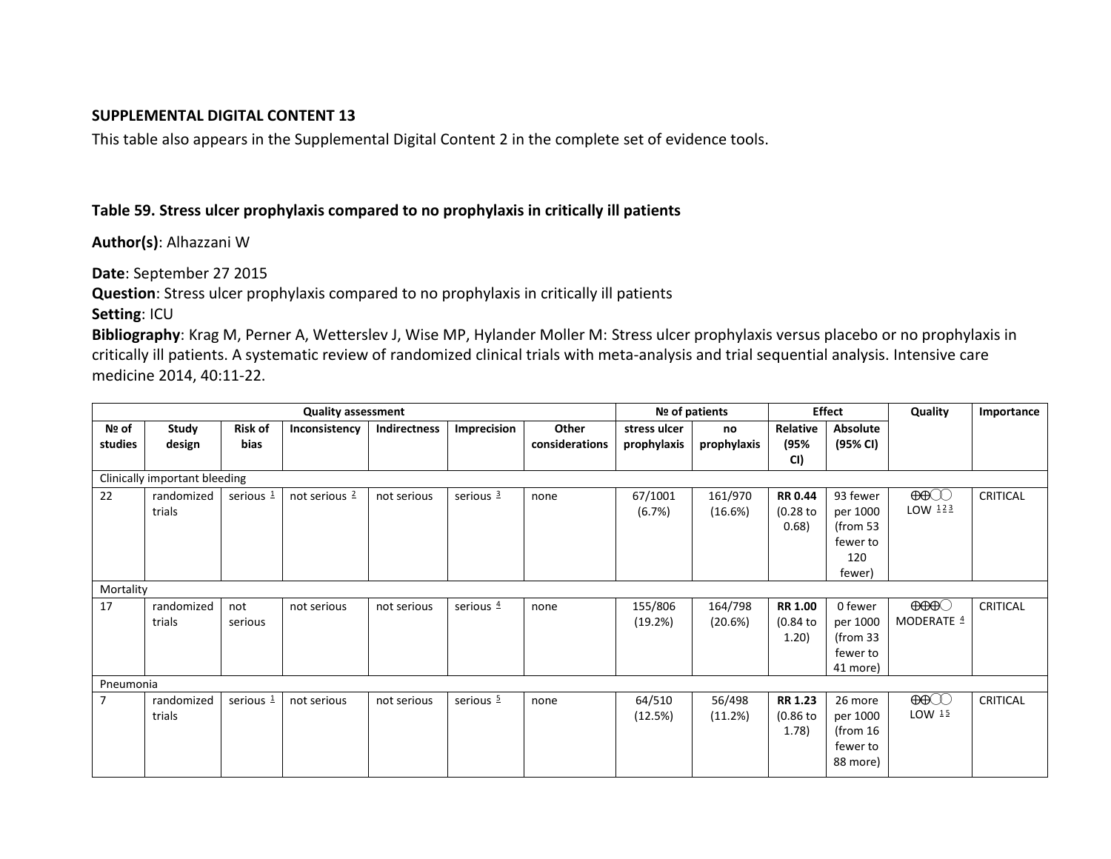## **SUPPLEMENTAL DIGITAL CONTENT 13**

This table also appears in the Supplemental Digital Content 2 in the complete set of evidence tools.

## **Table 59. Stress ulcer prophylaxis compared to no prophylaxis in critically ill patients**

**Author(s)**: Alhazzani W

**Date**: September 27 2015

**Question**: Stress ulcer prophylaxis compared to no prophylaxis in critically ill patients

**Setting**: ICU

**Bibliography**: Krag M, Perner A, Wetterslev J, Wise MP, Hylander Moller M: Stress ulcer prophylaxis versus placebo or no prophylaxis in critically ill patients. A systematic review of randomized clinical trials with meta-analysis and trial sequential analysis. Intensive care medicine 2014, 40:11-22.

| <b>Quality assessment</b>     |            |                |                 |              |                       |                | Nº of patients |             | <b>Effect</b>  |                     | Quality                                                                                                                                                                                    | Importance      |
|-------------------------------|------------|----------------|-----------------|--------------|-----------------------|----------------|----------------|-------------|----------------|---------------------|--------------------------------------------------------------------------------------------------------------------------------------------------------------------------------------------|-----------------|
| Nº of                         | Study      | <b>Risk of</b> | Inconsistency   | Indirectness | Imprecision           | Other          | stress ulcer   | no          | Relative       | <b>Absolute</b>     |                                                                                                                                                                                            |                 |
| studies                       | design     | bias           |                 |              |                       | considerations | prophylaxis    | prophylaxis | (95%           | (95% CI)            |                                                                                                                                                                                            |                 |
|                               |            |                |                 |              |                       |                |                |             | CI)            |                     |                                                                                                                                                                                            |                 |
| Clinically important bleeding |            |                |                 |              |                       |                |                |             |                |                     |                                                                                                                                                                                            |                 |
| 22                            | randomized | serious $1$    | not serious $2$ | not serious  | serious 3             | none           | 67/1001        | 161/970     | <b>RR 0.44</b> | 93 fewer            | $\bigoplus\hspace{-0.15cm}\bigoplus\hspace{-0.15cm}\bigoplus\hspace{-0.15cm}\bigoplus\hspace{-0.15cm}\bigoplus\hspace{-0.15cm}\bigoplus\hspace{-0.15cm}\bigoplus\hspace{-0.15cm}\bigoplus$ | <b>CRITICAL</b> |
|                               | trials     |                |                 |              |                       |                | (6.7%)         | (16.6%)     | $(0.28)$ to    | per 1000            | LOW $123$                                                                                                                                                                                  |                 |
|                               |            |                |                 |              |                       |                |                |             | 0.68)          | (from $53$          |                                                                                                                                                                                            |                 |
|                               |            |                |                 |              |                       |                |                |             |                | fewer to            |                                                                                                                                                                                            |                 |
|                               |            |                |                 |              |                       |                |                |             |                | 120                 |                                                                                                                                                                                            |                 |
|                               |            |                |                 |              |                       |                |                |             |                | fewer)              |                                                                                                                                                                                            |                 |
| Mortality                     |            |                |                 |              |                       |                |                |             |                |                     |                                                                                                                                                                                            |                 |
| 17                            | randomized | not            | not serious     | not serious  | serious $4$           | none           | 155/806        | 164/798     | <b>RR 1.00</b> | 0 fewer             | $\Theta\Theta\Theta$                                                                                                                                                                       | <b>CRITICAL</b> |
|                               | trials     | serious        |                 |              |                       |                | (19.2%)        | (20.6%)     | (0.84)         | per 1000            | MODERATE 4                                                                                                                                                                                 |                 |
|                               |            |                |                 |              |                       |                |                |             | 1.20)          | (from <sub>33</sub> |                                                                                                                                                                                            |                 |
|                               |            |                |                 |              |                       |                |                |             |                | fewer to            |                                                                                                                                                                                            |                 |
|                               |            |                |                 |              |                       |                |                |             |                | 41 more)            |                                                                                                                                                                                            |                 |
| Pneumonia                     |            |                |                 |              |                       |                |                |             |                |                     |                                                                                                                                                                                            |                 |
| 7                             | randomized | serious $1$    | not serious     | not serious  | serious $\frac{5}{2}$ | none           | 64/510         | 56/498      | <b>RR 1.23</b> | 26 more             | $\bigoplus$                                                                                                                                                                                | <b>CRITICAL</b> |
|                               | trials     |                |                 |              |                       |                | (12.5%)        | (11.2%)     | $(0.86)$ to    | per 1000            | LOW $15$                                                                                                                                                                                   |                 |
|                               |            |                |                 |              |                       |                |                |             | 1.78)          | (from $16$          |                                                                                                                                                                                            |                 |
|                               |            |                |                 |              |                       |                |                |             |                | fewer to            |                                                                                                                                                                                            |                 |
|                               |            |                |                 |              |                       |                |                |             |                | 88 more)            |                                                                                                                                                                                            |                 |
|                               |            |                |                 |              |                       |                |                |             |                |                     |                                                                                                                                                                                            |                 |